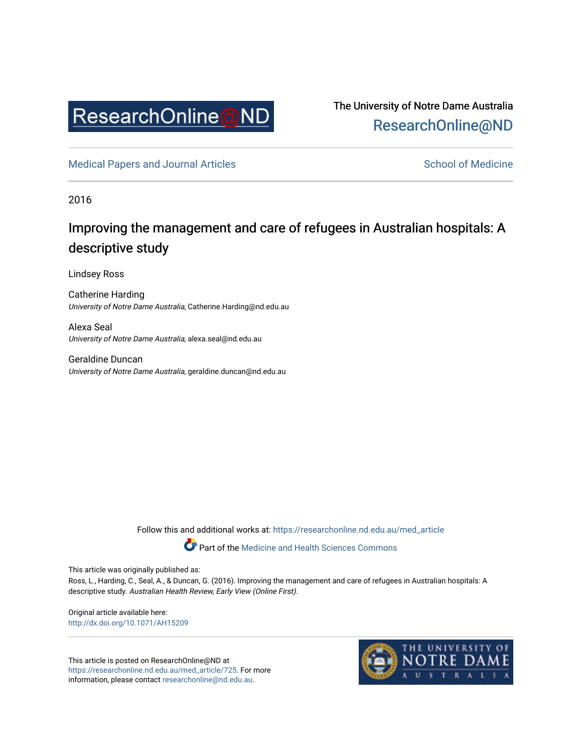

The University of Notre Dame Australia [ResearchOnline@ND](https://researchonline.nd.edu.au/) 

[Medical Papers and Journal Articles](https://researchonline.nd.edu.au/med_article) and School of Medicine

2016

# Improving the management and care of refugees in Australian hospitals: A descriptive study

Lindsey Ross

Catherine Harding University of Notre Dame Australia, Catherine.Harding@nd.edu.au

Alexa Seal University of Notre Dame Australia, alexa.seal@nd.edu.au

Geraldine Duncan University of Notre Dame Australia, geraldine.duncan@nd.edu.au

Follow this and additional works at: [https://researchonline.nd.edu.au/med\\_article](https://researchonline.nd.edu.au/med_article?utm_source=researchonline.nd.edu.au%2Fmed_article%2F725&utm_medium=PDF&utm_campaign=PDFCoverPages) 

Part of the [Medicine and Health Sciences Commons](http://network.bepress.com/hgg/discipline/648?utm_source=researchonline.nd.edu.au%2Fmed_article%2F725&utm_medium=PDF&utm_campaign=PDFCoverPages)

This article was originally published as:

Ross, L., Harding, C., Seal, A., & Duncan, G. (2016). Improving the management and care of refugees in Australian hospitals: A descriptive study. Australian Health Review, Early View (Online First).

Original article available here: <http://dx.doi.org/10.1071/AH15209>

This article is posted on ResearchOnline@ND at [https://researchonline.nd.edu.au/med\\_article/725](https://researchonline.nd.edu.au/med_article/725). For more information, please contact [researchonline@nd.edu.au.](mailto:researchonline@nd.edu.au)

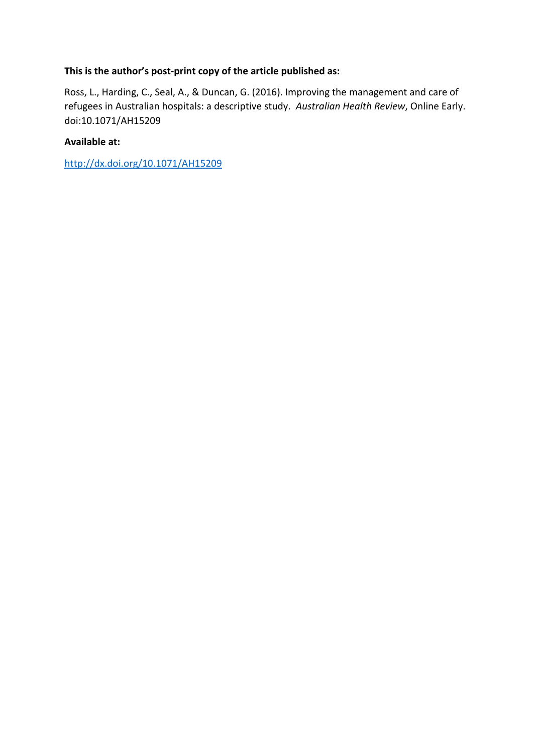## **This is the author's post-print copy of the article published as:**

Ross, L., Harding, C., Seal, A., & Duncan, G. (2016). Improving the management and care of refugees in Australian hospitals: a descriptive study. *Australian Health Review*, Online Early. doi:10.1071/AH15209

### **Available at:**

<http://dx.doi.org/10.1071/AH15209>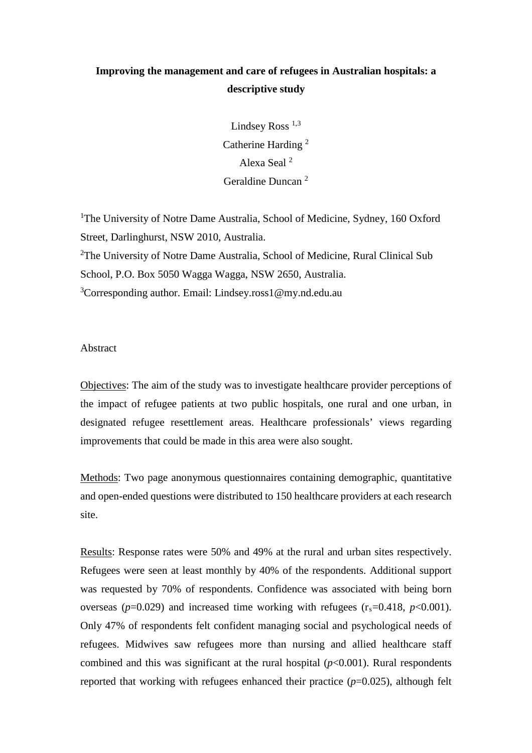# **Improving the management and care of refugees in Australian hospitals: a descriptive study**

Lindsey Ross  $^{1,3}$ Catherine Harding <sup>2</sup> Alexa Seal <sup>2</sup> Geraldine Duncan <sup>2</sup>

<sup>1</sup>The University of Notre Dame Australia, School of Medicine, Sydney, 160 Oxford Street, Darlinghurst, NSW 2010, Australia. <sup>2</sup>The University of Notre Dame Australia, School of Medicine, Rural Clinical Sub School, P.O. Box 5050 Wagga Wagga, NSW 2650, Australia. 3 Corresponding author. Email: Lindsey.ross1@my.nd.edu.au

Abstract

Objectives: The aim of the study was to investigate healthcare provider perceptions of the impact of refugee patients at two public hospitals, one rural and one urban, in designated refugee resettlement areas. Healthcare professionals' views regarding improvements that could be made in this area were also sought.

Methods: Two page anonymous questionnaires containing demographic, quantitative and open-ended questions were distributed to 150 healthcare providers at each research site.

Results: Response rates were 50% and 49% at the rural and urban sites respectively. Refugees were seen at least monthly by 40% of the respondents. Additional support was requested by 70% of respondents. Confidence was associated with being born overseas ( $p=0.029$ ) and increased time working with refugees ( $r_s=0.418$ ,  $p<0.001$ ). Only 47% of respondents felt confident managing social and psychological needs of refugees. Midwives saw refugees more than nursing and allied healthcare staff combined and this was significant at the rural hospital  $(p<0.001)$ . Rural respondents reported that working with refugees enhanced their practice (*p*=0.025), although felt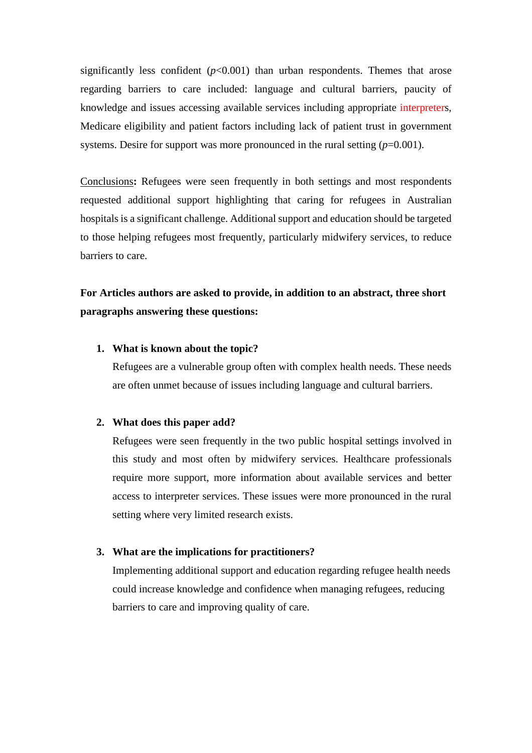significantly less confident  $(p<0.001)$  than urban respondents. Themes that arose regarding barriers to care included: language and cultural barriers, paucity of knowledge and issues accessing available services including appropriate interpreters, Medicare eligibility and patient factors including lack of patient trust in government systems. Desire for support was more pronounced in the rural setting  $(p=0.001)$ .

Conclusions**:** Refugees were seen frequently in both settings and most respondents requested additional support highlighting that caring for refugees in Australian hospitals is a significant challenge. Additional support and education should be targeted to those helping refugees most frequently, particularly midwifery services, to reduce barriers to care.

# **For Articles authors are asked to provide, in addition to an abstract, three short paragraphs answering these questions:**

### **1. What is known about the topic?**

Refugees are a vulnerable group often with complex health needs. These needs are often unmet because of issues including language and cultural barriers.

#### **2. What does this paper add?**

Refugees were seen frequently in the two public hospital settings involved in this study and most often by midwifery services. Healthcare professionals require more support, more information about available services and better access to interpreter services. These issues were more pronounced in the rural setting where very limited research exists.

#### **3. What are the implications for practitioners?**

Implementing additional support and education regarding refugee health needs could increase knowledge and confidence when managing refugees, reducing barriers to care and improving quality of care.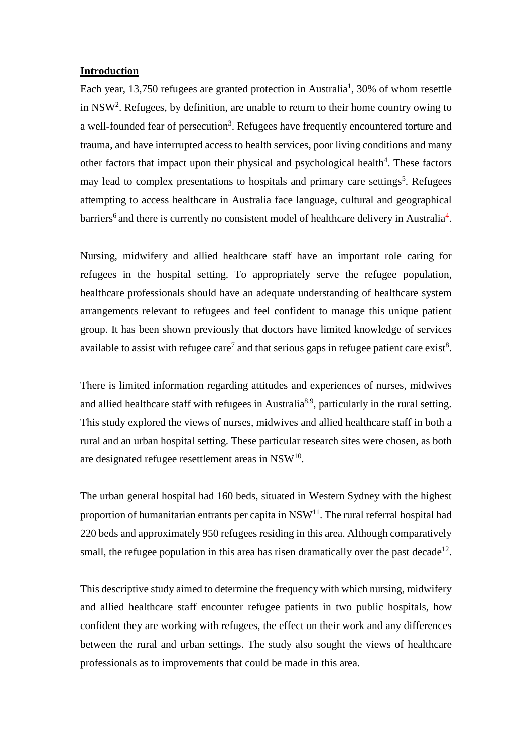#### **Introduction**

Each year, 13,750 refugees are granted protection in Australia<sup>1</sup>, 30% of whom resettle in NSW<sup>2</sup>. Refugees, by definition, are unable to return to their home country owing to a well-founded fear of persecution<sup>3</sup>. Refugees have frequently encountered torture and trauma, and have interrupted access to health services, poor living conditions and many other factors that impact upon their physical and psychological health<sup>4</sup>. These factors may lead to complex presentations to hospitals and primary care settings<sup>5</sup>. Refugees attempting to access healthcare in Australia face language, cultural and geographical barriers<sup>6</sup> and there is currently no consistent model of healthcare delivery in Australia<sup>4</sup>.

Nursing, midwifery and allied healthcare staff have an important role caring for refugees in the hospital setting. To appropriately serve the refugee population, healthcare professionals should have an adequate understanding of healthcare system arrangements relevant to refugees and feel confident to manage this unique patient group. It has been shown previously that doctors have limited knowledge of services available to assist with refugee care<sup>7</sup> and that serious gaps in refugee patient care exist<sup>8</sup>.

There is limited information regarding attitudes and experiences of nurses, midwives and allied healthcare staff with refugees in Australia<sup>8,9</sup>, particularly in the rural setting. This study explored the views of nurses, midwives and allied healthcare staff in both a rural and an urban hospital setting. These particular research sites were chosen, as both are designated refugee resettlement areas in NSW<sup>10</sup>.

The urban general hospital had 160 beds, situated in Western Sydney with the highest proportion of humanitarian entrants per capita in  $NSW<sup>11</sup>$ . The rural referral hospital had 220 beds and approximately 950 refugees residing in this area. Although comparatively small, the refugee population in this area has risen dramatically over the past decade<sup>12</sup>.

This descriptive study aimed to determine the frequency with which nursing, midwifery and allied healthcare staff encounter refugee patients in two public hospitals, how confident they are working with refugees, the effect on their work and any differences between the rural and urban settings. The study also sought the views of healthcare professionals as to improvements that could be made in this area.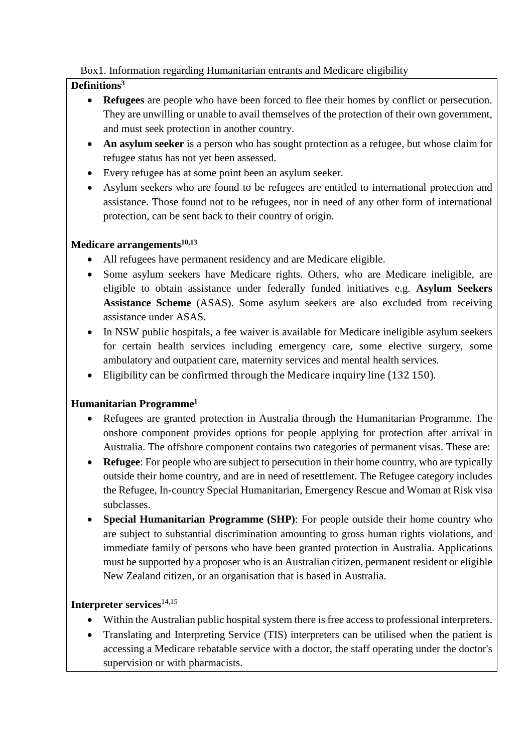# Box1. Information regarding Humanitarian entrants and Medicare eligibility

# **Definitions3**

- **Refugees** are people who have been forced to flee their homes by conflict or persecution. They are unwilling or unable to avail themselves of the protection of their own government, and must seek protection in another country.
- An asylum seeker is a person who has sought protection as a refugee, but whose claim for refugee status has not yet been assessed.
- Every refugee has at some point been an asylum seeker.
- Asylum seekers who are found to be refugees are entitled to international protection and assistance. Those found not to be refugees, nor in need of any other form of international protection, can be sent back to their country of origin.

## **Medicare arrangements10,13**

- All refugees have permanent residency and are Medicare eligible.
- Some asylum seekers have Medicare rights. Others, who are Medicare ineligible, are eligible to obtain assistance under federally funded initiatives e.g. **Asylum Seekers Assistance Scheme** (ASAS). Some asylum seekers are also excluded from receiving assistance under ASAS.
- In NSW public hospitals, a fee waiver is available for Medicare ineligible asylum seekers for certain health services including emergency care, some elective surgery, some ambulatory and outpatient care, maternity services and mental health services.
- Eligibility can be confirmed through the Medicare inquiry line (132 150).

# **Humanitarian Programme1**

- Refugees are granted protection in Australia through the Humanitarian Programme. The onshore component provides options for people applying for protection after arrival in Australia. The offshore component contains two categories of permanent visas. These are:
- **Refugee:** For people who are subject to persecution in their home country, who are typically outside their home country, and are in need of resettlement. The Refugee category includes the Refugee, In-country Special Humanitarian, Emergency Rescue and Woman at Risk visa subclasses.
- **Special Humanitarian Programme (SHP)**: For people outside their home country who are subject to substantial discrimination amounting to gross human rights violations, and immediate family of persons who have been granted protection in Australia. Applications must be supported by a proposer who is an Australian citizen, permanent resident or eligible New Zealand citizen, or an organisation that is based in Australia.

# **Interpreter services**14,15

- Within the Australian public hospital system there is free access to professional interpreters.
- Translating and Interpreting Service (TIS) interpreters can be utilised when the patient is accessing a Medicare rebatable service with a doctor, the staff operating under the doctor's supervision or with pharmacists.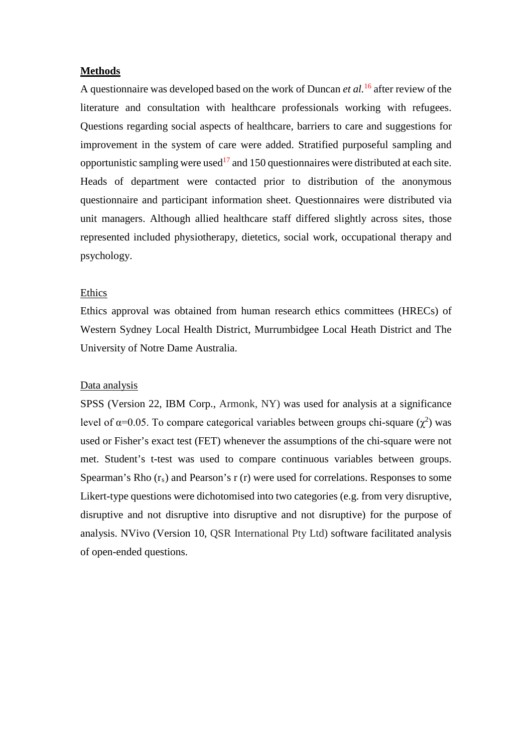#### **Methods**

A questionnaire was developed based on the work of Duncan *et al.*<sup>16</sup> after review of the literature and consultation with healthcare professionals working with refugees. Questions regarding social aspects of healthcare, barriers to care and suggestions for improvement in the system of care were added. Stratified purposeful sampling and opportunistic sampling were used<sup>17</sup> and 150 questionnaires were distributed at each site. Heads of department were contacted prior to distribution of the anonymous questionnaire and participant information sheet. Questionnaires were distributed via unit managers. Although allied healthcare staff differed slightly across sites, those represented included physiotherapy, dietetics, social work, occupational therapy and psychology.

#### Ethics

Ethics approval was obtained from human research ethics committees (HRECs) of Western Sydney Local Health District, Murrumbidgee Local Heath District and The University of Notre Dame Australia.

#### Data analysis

SPSS (Version 22, IBM Corp., Armonk, NY) was used for analysis at a significance level of  $\alpha$ =0.05. To compare categorical variables between groups chi-square ( $\chi^2$ ) was used or Fisher's exact test (FET) whenever the assumptions of the chi-square were not met. Student's t-test was used to compare continuous variables between groups. Spearman's Rho  $(r<sub>s</sub>)$  and Pearson's r  $(r)$  were used for correlations. Responses to some Likert-type questions were dichotomised into two categories (e.g. from very disruptive, disruptive and not disruptive into disruptive and not disruptive) for the purpose of analysis. NVivo (Version 10, QSR International Pty Ltd) software facilitated analysis of open-ended questions.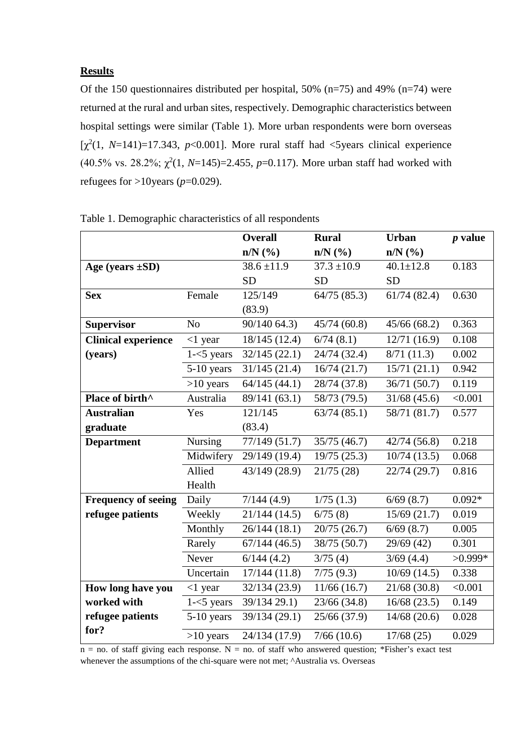### **Results**

Of the 150 questionnaires distributed per hospital, 50% (n=75) and 49% (n=74) were returned at the rural and urban sites, respectively. Demographic characteristics between hospital settings were similar (Table 1). More urban respondents were born overseas [ $\chi^2(1, N=141)=17.343$ ,  $p<0.001$ ]. More rural staff had <5years clinical experience (40.5% vs. 28.2%;  $\chi^2(1, N=145)=2.455$ ,  $p=0.117$ ). More urban staff had worked with refugees for  $>10$ years ( $p=0.029$ ).

|                             |                | <b>Overall</b>  | <b>Rural</b>                     | <b>Urban</b>    | $p$ value |
|-----------------------------|----------------|-----------------|----------------------------------|-----------------|-----------|
|                             |                | $n/N$ (%)       | $n/N$ $\left(\frac{9}{6}\right)$ | $n/N$ (%)       |           |
| Age (years $\pm SD$ )       |                | $38.6 \pm 11.9$ | $37.3 \pm 10.9$                  | $40.1 \pm 12.8$ | 0.183     |
|                             |                | <b>SD</b>       | <b>SD</b>                        | <b>SD</b>       |           |
| <b>Sex</b>                  | Female         | 125/149         | 64/75(85.3)                      | 61/74(82.4)     | 0.630     |
|                             |                | (83.9)          |                                  |                 |           |
| <b>Supervisor</b>           | N <sub>o</sub> | 90/140 64.3)    | 45/74(60.8)                      | 45/66(68.2)     | 0.363     |
| <b>Clinical experience</b>  | $<$ 1 year     | 18/145 (12.4)   | 6/74(8.1)                        | 12/71(16.9)     | 0.108     |
| (years)                     | $1 - 5$ years  | 32/145(22.1)    | 24/74 (32.4)                     | 8/71(11.3)      | 0.002     |
|                             | $5-10$ years   | 31/145(21.4)    | 16/74(21.7)                      | 15/71(21.1)     | 0.942     |
|                             | $>10$ years    | 64/145(44.1)    | 28/74 (37.8)                     | 36/71 (50.7)    | 0.119     |
| Place of birth <sup>^</sup> | Australia      | 89/141 (63.1)   | 58/73 (79.5)                     | $31/68$ (45.6)  | < 0.001   |
| <b>Australian</b>           | Yes            | 121/145         | 63/74(85.1)                      | 58/71 (81.7)    | 0.577     |
| graduate                    |                | (83.4)          |                                  |                 |           |
| <b>Department</b>           | Nursing        | 77/149(51.7)    | 35/75 (46.7)                     | 42/74(56.8)     | 0.218     |
|                             | Midwifery      | 29/149 (19.4)   | 19/75(25.3)                      | 10/74(13.5)     | 0.068     |
|                             | Allied         | 43/149 (28.9)   | 21/75(28)                        | 22/74 (29.7)    | 0.816     |
|                             | Health         |                 |                                  |                 |           |
| <b>Frequency of seeing</b>  | Daily          | 7/144(4.9)      | 1/75(1.3)                        | 6/69(8.7)       | $0.092*$  |
| refugee patients            | Weekly         | 21/144 (14.5)   | 6/75(8)                          | 15/69(21.7)     | 0.019     |
|                             | Monthly        | 26/144(18.1)    | 20/75(26.7)                      | 6/69(8.7)       | 0.005     |
|                             | Rarely         | 67/144(46.5)    | 38/75 (50.7)                     | 29/69 (42)      | 0.301     |
|                             | Never          | 6/144(4.2)      | 3/75(4)                          | 3/69(4.4)       | $>0.999*$ |
|                             | Uncertain      | 17/144(11.8)    | 7/75(9.3)                        | $10/69$ (14.5)  | 0.338     |
| How long have you           | $<$ 1 year     | 32/134 (23.9)   | 11/66(16.7)                      | 21/68(30.8)     | < 0.001   |
| worked with                 | $1 - 5$ years  | 39/134 29.1)    | 23/66 (34.8)                     | 16/68(23.5)     | 0.149     |
| refugee patients            | $5-10$ years   | 39/134 (29.1)   | 25/66 (37.9)                     | 14/68(20.6)     | 0.028     |
| for?                        | $>10$ years    | 24/134 (17.9)   | 7/66(10.6)                       | 17/68(25)       | 0.029     |

| Table 1. Demographic characteristics of all respondents |  |  |  |
|---------------------------------------------------------|--|--|--|
|---------------------------------------------------------|--|--|--|

 $n = no$ . of staff giving each response. N = no. of staff who answered question; \*Fisher's exact test whenever the assumptions of the chi-square were not met; ^Australia vs. Overseas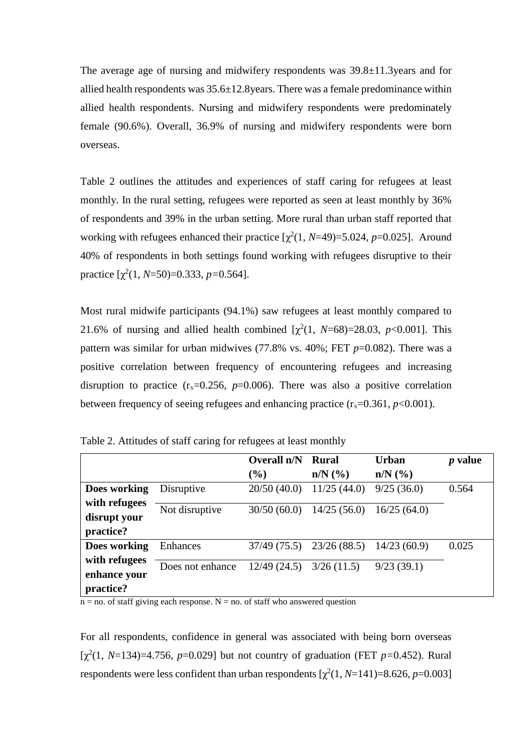The average age of nursing and midwifery respondents was 39.8±11.3years and for allied health respondents was 35.6±12.8years. There was a female predominance within allied health respondents. Nursing and midwifery respondents were predominately female (90.6%). Overall, 36.9% of nursing and midwifery respondents were born overseas.

Table 2 outlines the attitudes and experiences of staff caring for refugees at least monthly. In the rural setting, refugees were reported as seen at least monthly by 36% of respondents and 39% in the urban setting. More rural than urban staff reported that working with refugees enhanced their practice  $[\chi^2(1, N=49)=5.024, p=0.025]$ . Around 40% of respondents in both settings found working with refugees disruptive to their practice  $[\chi^2(1, N=50)=0.333, p=0.564]$ .

Most rural midwife participants (94.1%) saw refugees at least monthly compared to 21.6% of nursing and allied health combined  $[\chi^2(1, N=68)=28.03, p<0.001]$ . This pattern was similar for urban midwives  $(77.8\%$  vs.  $40\%$ ; FET  $p=0.082$ ). There was a positive correlation between frequency of encountering refugees and increasing disruption to practice  $(r_s=0.256, p=0.006)$ . There was also a positive correlation between frequency of seeing refugees and enhancing practice  $(r_s=0.361, p<0.001)$ .

|                                            |                  | Overall n/N | Rural                            | <b>Urban</b> | <i>p</i> value |
|--------------------------------------------|------------------|-------------|----------------------------------|--------------|----------------|
|                                            |                  | $(\%)$      | $n/N$ $\left(\frac{9}{6}\right)$ | $n/N$ $(\%)$ |                |
| Does working                               | Disruptive       | 20/50(40.0) | 11/25(44.0)                      | 9/25(36.0)   | 0.564          |
| with refugees<br>disrupt your<br>practice? | Not disruptive   | 30/50(60.0) | 14/25(56.0)                      | 16/25(64.0)  |                |
| Does working                               | Enhances         |             | $37/49$ (75.5) $23/26$ (88.5)    | 14/23(60.9)  | 0.025          |
| with refugees<br>enhance your<br>practice? | Does not enhance | 12/49(24.5) | 3/26(11.5)                       | 9/23(39.1)   |                |

Table 2. Attitudes of staff caring for refugees at least monthly

 $n = no$ . of staff giving each response.  $N = no$ . of staff who answered question

For all respondents, confidence in general was associated with being born overseas [ $χ<sup>2</sup>(1, N=134)=4.756$ , *p*=0.029] but not country of graduation (FET *p*=0.452). Rural respondents were less confident than urban respondents  $[\chi^2(1, N=141)=8.626, p=0.003]$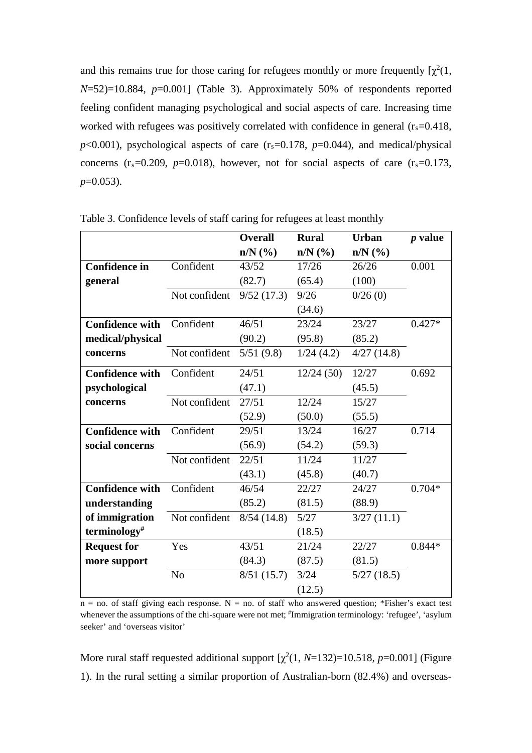and this remains true for those caring for refugees monthly or more frequently  $[\chi^2(1,$ *N*=52)=10.884, *p*=0.001] (Table 3). Approximately 50% of respondents reported feeling confident managing psychological and social aspects of care. Increasing time worked with refugees was positively correlated with confidence in general  $(r_s=0.418,$  $p$ <0.001), psychological aspects of care ( $r_s$ =0.178,  $p$ =0.044), and medical/physical concerns  $(r_s=0.209, p=0.018)$ , however, not for social aspects of care  $(r_s=0.173,$ *p*=0.053).

|                          |                | <b>Overall</b> | <b>Rural</b> | <b>Urban</b> | $p$ value |
|--------------------------|----------------|----------------|--------------|--------------|-----------|
|                          |                | $n/N$ (%)      | $n/N$ (%)    | $n/N$ $(\%)$ |           |
| <b>Confidence in</b>     | Confident      | 43/52          | 17/26        | 26/26        | 0.001     |
| general                  |                | (82.7)         | (65.4)       | (100)        |           |
|                          | Not confident  | 9/52(17.3)     | 9/26         | 0/26(0)      |           |
|                          |                |                | (34.6)       |              |           |
| <b>Confidence with</b>   | Confident      | 46/51          | 23/24        | 23/27        | $0.427*$  |
| medical/physical         |                | (90.2)         | (95.8)       | (85.2)       |           |
| concerns                 | Not confident  | 5/51(9.8)      | 1/24(4.2)    | 4/27(14.8)   |           |
| <b>Confidence with</b>   | Confident      | 24/51          | 12/24(50)    | 12/27        | 0.692     |
| psychological            |                | (47.1)         |              | (45.5)       |           |
| concerns                 | Not confident  | 27/51          | 12/24        | 15/27        |           |
|                          |                | (52.9)         | (50.0)       | (55.5)       |           |
| <b>Confidence with</b>   | Confident      | 29/51          | 13/24        | 16/27        | 0.714     |
| social concerns          |                | (56.9)         | (54.2)       | (59.3)       |           |
|                          | Not confident  | 22/51          | 11/24        | 11/27        |           |
|                          |                | (43.1)         | (45.8)       | (40.7)       |           |
| <b>Confidence with</b>   | Confident      | 46/54          | 22/27        | 24/27        | $0.704*$  |
| understanding            |                | (85.2)         | (81.5)       | (88.9)       |           |
| of immigration           | Not confident  | 8/54(14.8)     | 5/27         | 3/27(11.1)   |           |
| terminology <sup>#</sup> |                |                | (18.5)       |              |           |
| <b>Request for</b>       | Yes            | 43/51          | 21/24        | 22/27        | $0.844*$  |
| more support             |                | (84.3)         | (87.5)       | (81.5)       |           |
|                          | N <sub>o</sub> | 8/51(15.7)     | 3/24         | 5/27(18.5)   |           |
|                          |                |                | (12.5)       |              |           |

Table 3. Confidence levels of staff caring for refugees at least monthly

 $n = no$ . of staff giving each response. N = no. of staff who answered question; \*Fisher's exact test whenever the assumptions of the chi-square were not met;  $*$ Immigration terminology: 'refugee', 'asylum seeker' and 'overseas visitor'

More rural staff requested additional support  $[\chi^2(1, N=132)=10.518, p=0.001]$  (Figure 1). In the rural setting a similar proportion of Australian-born (82.4%) and overseas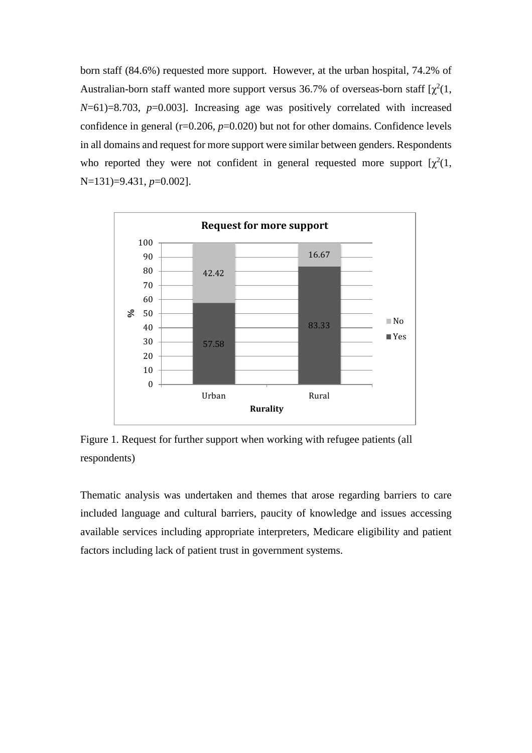born staff (84.6%) requested more support. However, at the urban hospital, 74.2% of Australian-born staff wanted more support versus 36.7% of overseas-born staff  $\lbrack \chi^2(1, \cdot) \rbrack$ *N*=61)=8.703, *p*=0.003]. Increasing age was positively correlated with increased confidence in general  $(r=0.206, p=0.020)$  but not for other domains. Confidence levels in all domains and request for more support were similar between genders. Respondents who reported they were not confident in general requested more support  $[\chi^2(1, \cdot)]$ N=131)=9.431, *p*=0.002].



Figure 1. Request for further support when working with refugee patients (all respondents)

Thematic analysis was undertaken and themes that arose regarding barriers to care included language and cultural barriers, paucity of knowledge and issues accessing available services including appropriate interpreters, Medicare eligibility and patient factors including lack of patient trust in government systems.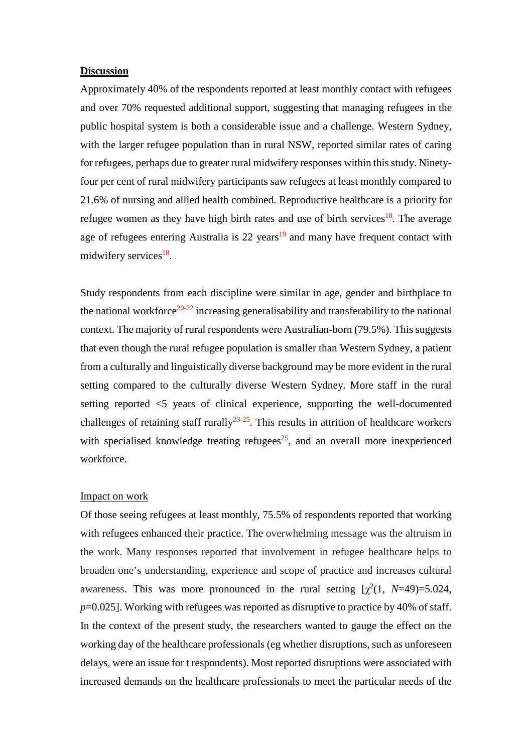#### **Discussion**

Approximately 40% of the respondents reported at least monthly contact with refugees and over 70% requested additional support, suggesting that managing refugees in the public hospital system is both a considerable issue and a challenge. Western Sydney, with the larger refugee population than in rural NSW, reported similar rates of caring for refugees, perhaps due to greater rural midwifery responses within this study. Ninetyfour per cent of rural midwifery participants saw refugees at least monthly compared to 21.6% of nursing and allied health combined. Reproductive healthcare is a priority for refugee women as they have high birth rates and use of birth services<sup>18</sup>. The average age of refugees entering Australia is  $22 \text{ years}^{19}$  and many have frequent contact with midwifery services<sup>18</sup>.

Study respondents from each discipline were similar in age, gender and birthplace to the national workforce<sup>20-22</sup> increasing generalisability and transferability to the national context. The majority of rural respondents were Australian-born (79.5%). This suggests that even though the rural refugee population is smaller than Western Sydney, a patient from a culturally and linguistically diverse background may be more evident in the rural setting compared to the culturally diverse Western Sydney. More staff in the rural setting reported <5 years of clinical experience, supporting the well-documented challenges of retaining staff rurally<sup>23-25</sup>. This results in attrition of healthcare workers with specialised knowledge treating refugees $^{25}$ , and an overall more inexperienced workforce.

#### Impact on work

Of those seeing refugees at least monthly, 75.5% of respondents reported that working with refugees enhanced their practice. The overwhelming message was the altruism in the work. Many responses reported that involvement in refugee healthcare helps to broaden one's understanding, experience and scope of practice and increases cultural awareness. This was more pronounced in the rural setting  $[\chi^2(1, N=49)=5.024,$ *p*=0.025]. Working with refugees was reported as disruptive to practice by 40% of staff. In the context of the present study, the researchers wanted to gauge the effect on the working day of the healthcare professionals (eg whether disruptions, such as unforeseen delays, were an issue for t respondents). Most reported disruptions were associated with increased demands on the healthcare professionals to meet the particular needs of the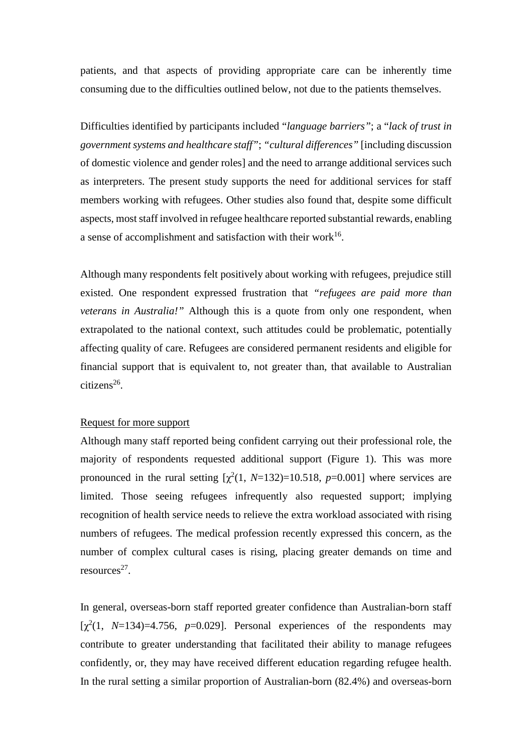patients, and that aspects of providing appropriate care can be inherently time consuming due to the difficulties outlined below, not due to the patients themselves.

Difficulties identified by participants included "*language barriers"*; a "*lack of trust in government systems and healthcare staff"*; *"cultural differences"* [including discussion of domestic violence and gender roles] and the need to arrange additional services such as interpreters. The present study supports the need for additional services for staff members working with refugees. Other studies also found that, despite some difficult aspects, most staff involved in refugee healthcare reported substantial rewards, enabling a sense of accomplishment and satisfaction with their work $16$ .

Although many respondents felt positively about working with refugees, prejudice still existed. One respondent expressed frustration that *"refugees are paid more than veterans in Australia!"* Although this is a quote from only one respondent, when extrapolated to the national context, such attitudes could be problematic, potentially affecting quality of care. Refugees are considered permanent residents and eligible for financial support that is equivalent to, not greater than, that available to Australian  $citizens<sup>26</sup>$ .

#### Request for more support

Although many staff reported being confident carrying out their professional role, the majority of respondents requested additional support (Figure 1). This was more pronounced in the rural setting  $[\chi^2(1, N=132)=10.518, p=0.001]$  where services are limited. Those seeing refugees infrequently also requested support; implying recognition of health service needs to relieve the extra workload associated with rising numbers of refugees. The medical profession recently expressed this concern, as the number of complex cultural cases is rising, placing greater demands on time and  $resources<sup>27</sup>$ .

In general, overseas-born staff reported greater confidence than Australian-born staff [ $\chi^2$ (1, *N*=134)=4.756, *p*=0.029]. Personal experiences of the respondents may contribute to greater understanding that facilitated their ability to manage refugees confidently, or, they may have received different education regarding refugee health. In the rural setting a similar proportion of Australian-born (82.4%) and overseas-born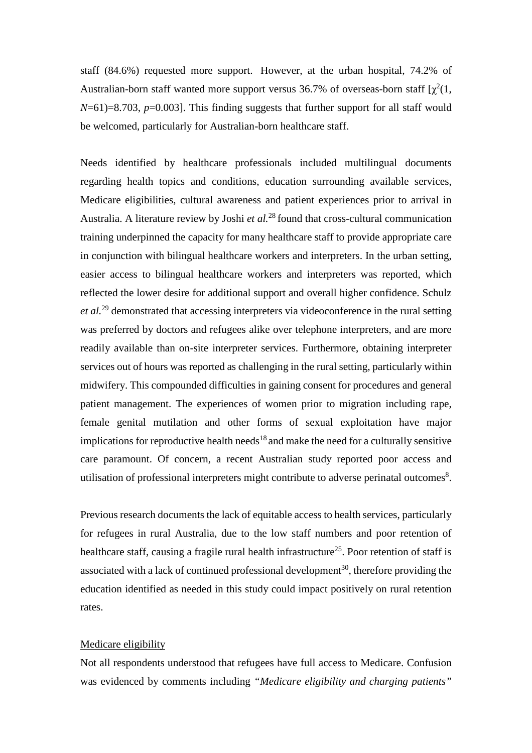staff (84.6%) requested more support. However, at the urban hospital, 74.2% of Australian-born staff wanted more support versus 36.7% of overseas-born staff  $\lbrack \chi^2(1, \cdot) \rbrack$ *N*=61)=8.703, *p*=0.003]. This finding suggests that further support for all staff would be welcomed, particularly for Australian-born healthcare staff.

Needs identified by healthcare professionals included multilingual documents regarding health topics and conditions, education surrounding available services, Medicare eligibilities, cultural awareness and patient experiences prior to arrival in Australia. A literature review by Joshi *et al.* <sup>28</sup> found that cross-cultural communication training underpinned the capacity for many healthcare staff to provide appropriate care in conjunction with bilingual healthcare workers and interpreters. In the urban setting, easier access to bilingual healthcare workers and interpreters was reported, which reflected the lower desire for additional support and overall higher confidence. Schulz *et al.*<sup>29</sup> demonstrated that accessing interpreters via videoconference in the rural setting was preferred by doctors and refugees alike over telephone interpreters, and are more readily available than on-site interpreter services. Furthermore, obtaining interpreter services out of hours was reported as challenging in the rural setting, particularly within midwifery. This compounded difficulties in gaining consent for procedures and general patient management. The experiences of women prior to migration including rape, female genital mutilation and other forms of sexual exploitation have major implications for reproductive health needs<sup>18</sup> and make the need for a culturally sensitive care paramount. Of concern, a recent Australian study reported poor access and utilisation of professional interpreters might contribute to adverse perinatal outcomes<sup>8</sup>.

Previous research documents the lack of equitable access to health services, particularly for refugees in rural Australia, due to the low staff numbers and poor retention of healthcare staff, causing a fragile rural health infrastructure<sup>25</sup>. Poor retention of staff is associated with a lack of continued professional development<sup>30</sup>, therefore providing the education identified as needed in this study could impact positively on rural retention rates.

#### Medicare eligibility

Not all respondents understood that refugees have full access to Medicare. Confusion was evidenced by comments including *"Medicare eligibility and charging patients"*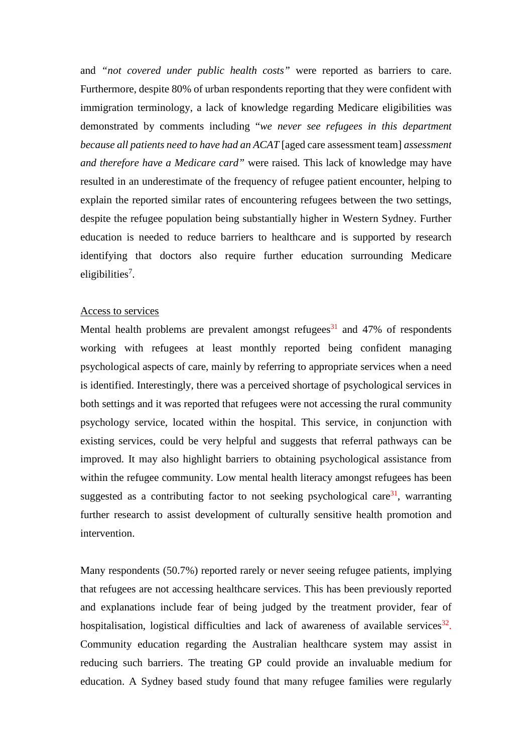and *"not covered under public health costs"* were reported as barriers to care. Furthermore, despite 80% of urban respondents reporting that they were confident with immigration terminology, a lack of knowledge regarding Medicare eligibilities was demonstrated by comments including "*we never see refugees in this department because all patients need to have had an ACAT* [aged care assessment team] *assessment and therefore have a Medicare card"* were raised*.* This lack of knowledge may have resulted in an underestimate of the frequency of refugee patient encounter, helping to explain the reported similar rates of encountering refugees between the two settings, despite the refugee population being substantially higher in Western Sydney. Further education is needed to reduce barriers to healthcare and is supported by research identifying that doctors also require further education surrounding Medicare eligibilities<sup>7</sup>.

#### Access to services

Mental health problems are prevalent amongst refugees<sup>31</sup> and 47% of respondents working with refugees at least monthly reported being confident managing psychological aspects of care, mainly by referring to appropriate services when a need is identified. Interestingly, there was a perceived shortage of psychological services in both settings and it was reported that refugees were not accessing the rural community psychology service, located within the hospital. This service, in conjunction with existing services, could be very helpful and suggests that referral pathways can be improved. It may also highlight barriers to obtaining psychological assistance from within the refugee community. Low mental health literacy amongst refugees has been suggested as a contributing factor to not seeking psychological care<sup>31</sup>, warranting further research to assist development of culturally sensitive health promotion and intervention.

Many respondents (50.7%) reported rarely or never seeing refugee patients, implying that refugees are not accessing healthcare services. This has been previously reported and explanations include fear of being judged by the treatment provider, fear of hospitalisation, logistical difficulties and lack of awareness of available services $32$ . Community education regarding the Australian healthcare system may assist in reducing such barriers. The treating GP could provide an invaluable medium for education. A Sydney based study found that many refugee families were regularly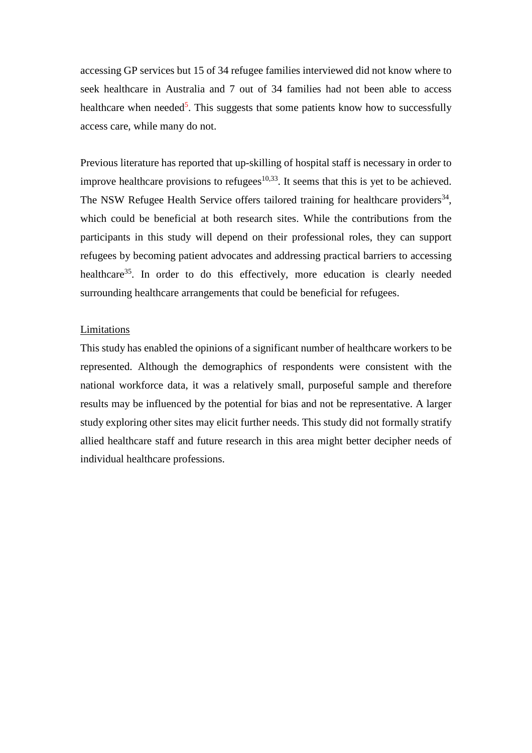accessing GP services but 15 of 34 refugee families interviewed did not know where to seek healthcare in Australia and 7 out of 34 families had not been able to access healthcare when needed<sup>5</sup>. This suggests that some patients know how to successfully access care, while many do not.

Previous literature has reported that up-skilling of hospital staff is necessary in order to improve healthcare provisions to refugees $10,33$ . It seems that this is yet to be achieved. The NSW Refugee Health Service offers tailored training for healthcare providers $^{34}$ , which could be beneficial at both research sites. While the contributions from the participants in this study will depend on their professional roles, they can support refugees by becoming patient advocates and addressing practical barriers to accessing healthcare<sup>35</sup>. In order to do this effectively, more education is clearly needed surrounding healthcare arrangements that could be beneficial for refugees.

#### **Limitations**

This study has enabled the opinions of a significant number of healthcare workers to be represented. Although the demographics of respondents were consistent with the national workforce data, it was a relatively small, purposeful sample and therefore results may be influenced by the potential for bias and not be representative. A larger study exploring other sites may elicit further needs. This study did not formally stratify allied healthcare staff and future research in this area might better decipher needs of individual healthcare professions.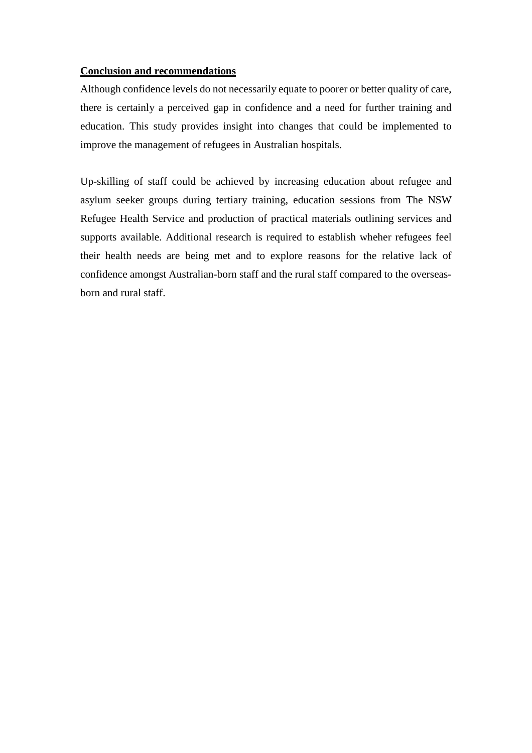### **Conclusion and recommendations**

Although confidence levels do not necessarily equate to poorer or better quality of care, there is certainly a perceived gap in confidence and a need for further training and education. This study provides insight into changes that could be implemented to improve the management of refugees in Australian hospitals.

Up-skilling of staff could be achieved by increasing education about refugee and asylum seeker groups during tertiary training, education sessions from The NSW Refugee Health Service and production of practical materials outlining services and supports available. Additional research is required to establish wheher refugees feel their health needs are being met and to explore reasons for the relative lack of confidence amongst Australian-born staff and the rural staff compared to the overseasborn and rural staff.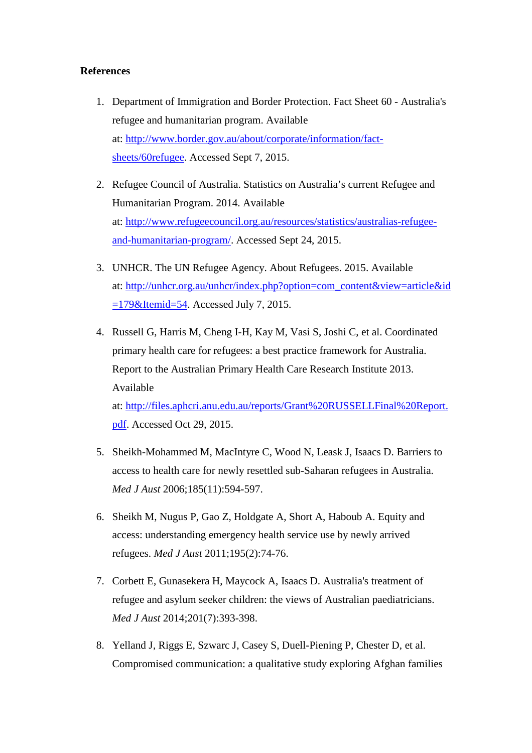### **References**

- 1. Department of Immigration and Border Protection. Fact Sheet 60 Australia's refugee and humanitarian program. Available at: [http://www.border.gov.au/about/corporate/information/fact](http://www.border.gov.au/about/corporate/information/fact-sheets/60refugee)[sheets/60refugee.](http://www.border.gov.au/about/corporate/information/fact-sheets/60refugee) Accessed Sept 7, 2015.
- 2. Refugee Council of Australia. Statistics on Australia's current Refugee and Humanitarian Program. 2014. Available at: [http://www.refugeecouncil.org.au/resources/statistics/australias-refugee](http://www.refugeecouncil.org.au/resources/statistics/australias-refugee-and-humanitarian-program/)[and-humanitarian-program/.](http://www.refugeecouncil.org.au/resources/statistics/australias-refugee-and-humanitarian-program/) Accessed Sept 24, 2015.
- 3. UNHCR. The UN Refugee Agency. About Refugees. 2015. Available at: [http://unhcr.org.au/unhcr/index.php?option=com\\_content&view=article&id](http://unhcr.org.au/unhcr/index.php?option=com_content&view=article&id=179&Itemid=54)  $=179$ &Itemid=54. Accessed July 7, 2015.
- 4. Russell G, Harris M, Cheng I-H, Kay M, Vasi S, Joshi C, et al. Coordinated primary health care for refugees: a best practice framework for Australia. Report to the Australian Primary Health Care Research Institute 2013. Available

at: [http://files.aphcri.anu.edu.au/reports/Grant%20RUSSELLFinal%20Report.](http://files.aphcri.anu.edu.au/reports/Grant%20RUSSELLFinal%20Report.pdf) [pdf.](http://files.aphcri.anu.edu.au/reports/Grant%20RUSSELLFinal%20Report.pdf) Accessed Oct 29, 2015.

- 5. Sheikh-Mohammed M, MacIntyre C, Wood N, Leask J, Isaacs D. Barriers to access to health care for newly resettled sub-Saharan refugees in Australia. *Med J Aust* 2006;185(11):594-597.
- 6. Sheikh M, Nugus P, Gao Z, Holdgate A, Short A, Haboub A. Equity and access: understanding emergency health service use by newly arrived refugees. *Med J Aust* 2011;195(2):74-76.
- 7. Corbett E, Gunasekera H, Maycock A, Isaacs D. Australia's treatment of refugee and asylum seeker children: the views of Australian paediatricians. *Med J Aust* 2014;201(7):393-398.
- 8. Yelland J, Riggs E, Szwarc J, Casey S, Duell-Piening P, Chester D, et al. Compromised communication: a qualitative study exploring Afghan families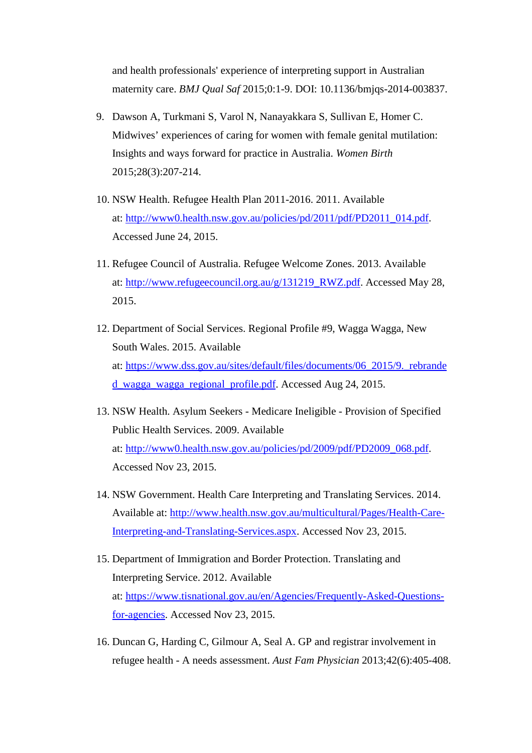and health professionals' experience of interpreting support in Australian maternity care. *BMJ Qual Saf* 2015;0:1-9. DOI: 10.1136/bmjqs-2014-003837.

- 9. Dawson A, Turkmani S, Varol N, Nanayakkara S, Sullivan E, Homer C. Midwives' experiences of caring for women with female genital mutilation: Insights and ways forward for practice in Australia. *Women Birth* 2015;28(3):207-214.
- 10. NSW Health. Refugee Health Plan 2011-2016. 2011. Available at: [http://www0.health.nsw.gov.au/policies/pd/2011/pdf/PD2011\\_014.pdf.](http://www0.health.nsw.gov.au/policies/pd/2011/pdf/PD2011_014.pdf) Accessed June 24, 2015.
- 11. Refugee Council of Australia. Refugee Welcome Zones. 2013. Available at: [http://www.refugeecouncil.org.au/g/131219\\_RWZ.pdf.](http://www.refugeecouncil.org.au/g/131219_RWZ.pdf) Accessed May 28, 2015.
- 12. Department of Social Services. Regional Profile #9, Wagga Wagga, New South Wales. 2015. Available at: [https://www.dss.gov.au/sites/default/files/documents/06\\_2015/9.\\_rebrande](https://www.dss.gov.au/sites/default/files/documents/06_2015/9._rebranded_wagga_wagga_regional_profile.pdf) [d\\_wagga\\_wagga\\_regional\\_profile.pdf.](https://www.dss.gov.au/sites/default/files/documents/06_2015/9._rebranded_wagga_wagga_regional_profile.pdf) Accessed Aug 24, 2015.
- 13. NSW Health. Asylum Seekers Medicare Ineligible Provision of Specified Public Health Services. 2009. Available at: [http://www0.health.nsw.gov.au/policies/pd/2009/pdf/PD2009\\_068.pdf.](http://www0.health.nsw.gov.au/policies/pd/2009/pdf/PD2009_068.pdf) Accessed Nov 23, 2015.
- 14. NSW Government. Health Care Interpreting and Translating Services. 2014. Available at: [http://www.health.nsw.gov.au/multicultural/Pages/Health-Care-](http://www.health.nsw.gov.au/multicultural/Pages/Health-Care-Interpreting-and-Translating-Services.aspx)[Interpreting-and-Translating-Services.aspx.](http://www.health.nsw.gov.au/multicultural/Pages/Health-Care-Interpreting-and-Translating-Services.aspx) Accessed Nov 23, 2015.
- 15. Department of Immigration and Border Protection. Translating and Interpreting Service. 2012. Available at: [https://www.tisnational.gov.au/en/Agencies/Frequently-Asked-Questions](https://www.tisnational.gov.au/en/Agencies/Frequently-Asked-Questions-for-agencies)[for-agencies.](https://www.tisnational.gov.au/en/Agencies/Frequently-Asked-Questions-for-agencies) Accessed Nov 23, 2015.
- 16. Duncan G, Harding C, Gilmour A, Seal A. GP and registrar involvement in refugee health - A needs assessment. *Aust Fam Physician* 2013;42(6):405-408.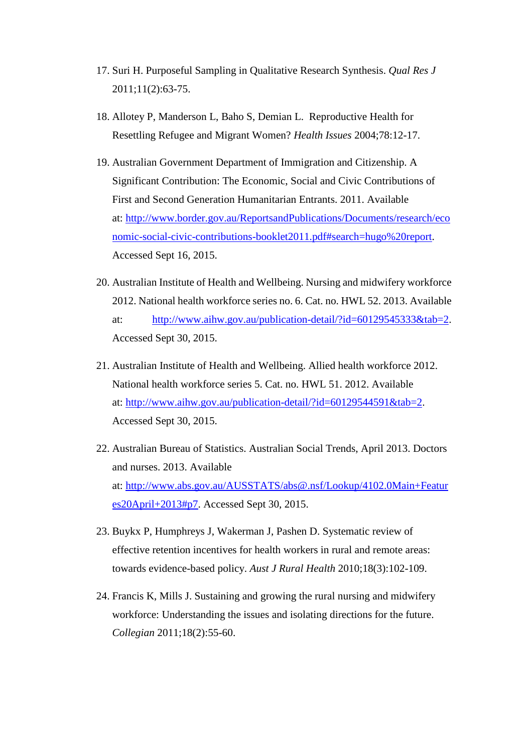- 17. Suri H. Purposeful Sampling in Qualitative Research Synthesis. *Qual Res J*  2011;11(2):63-75.
- 18. Allotey P, Manderson L, Baho S, Demian L. Reproductive Health for Resettling Refugee and Migrant Women? *Health Issues* 2004;78:12-17.
- 19. Australian Government Department of Immigration and Citizenship. A Significant Contribution: The Economic, Social and Civic Contributions of First and Second Generation Humanitarian Entrants. 2011. Available at: [http://www.border.gov.au/ReportsandPublications/Documents/research/eco](http://www.border.gov.au/ReportsandPublications/Documents/research/economic-social-civic-contributions-booklet2011.pdf%23search=hugo%20report) [nomic-social-civic-contributions-booklet2011.pdf#search=hugo%20report.](http://www.border.gov.au/ReportsandPublications/Documents/research/economic-social-civic-contributions-booklet2011.pdf%23search=hugo%20report) Accessed Sept 16, 2015.
- 20. Australian Institute of Health and Wellbeing. Nursing and midwifery workforce 2012. National health workforce series no. 6. Cat. no. HWL 52. 2013. Available at: [http://www.aihw.gov.au/publication-detail/?id=60129545333&tab=2.](http://www.aihw.gov.au/publication-detail/?id=60129545333&tab=2) Accessed Sept 30, 2015.
- 21. Australian Institute of Health and Wellbeing. Allied health workforce 2012. National health workforce series 5. Cat. no. HWL 51. 2012. Available at: [http://www.aihw.gov.au/publication-detail/?id=60129544591&tab=2.](http://www.aihw.gov.au/publication-detail/?id=60129544591&tab=2) Accessed Sept 30, 2015.
- 22. Australian Bureau of Statistics. Australian Social Trends, April 2013. Doctors and nurses. 2013. Available at: [http://www.abs.gov.au/AUSSTATS/abs@.nsf/Lookup/4102.0Main+Featur](http://www.abs.gov.au/AUSSTATS/abs@.nsf/Lookup/4102.0Main+Features20April+2013%23p7) [es20April+2013#p7.](http://www.abs.gov.au/AUSSTATS/abs@.nsf/Lookup/4102.0Main+Features20April+2013%23p7) Accessed Sept 30, 2015.
- 23. Buykx P, Humphreys J, Wakerman J, Pashen D. Systematic review of effective retention incentives for health workers in rural and remote areas: towards evidence-based policy. *Aust J Rural Health* 2010;18(3):102-109.
- 24. Francis K, Mills J. Sustaining and growing the rural nursing and midwifery workforce: Understanding the issues and isolating directions for the future. *Collegian* 2011;18(2):55-60.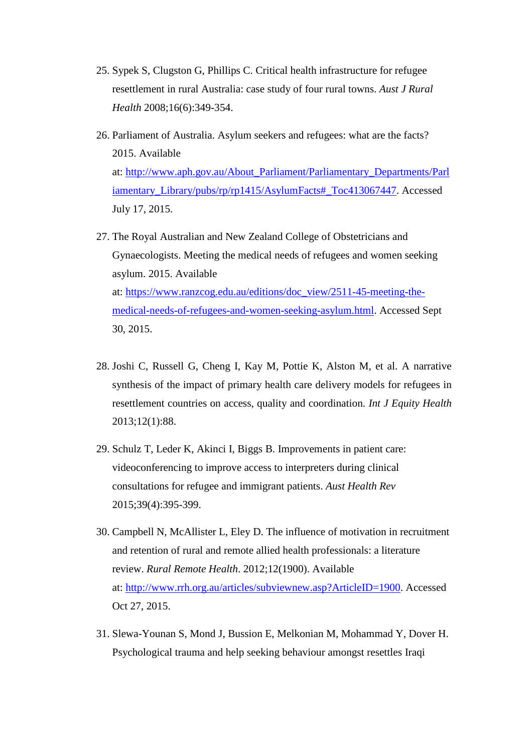- 25. Sypek S, Clugston G, Phillips C. Critical health infrastructure for refugee resettlement in rural Australia: case study of four rural towns. *Aust J Rural Health* 2008;16(6):349-354.
- 26. Parliament of Australia. Asylum seekers and refugees: what are the facts? 2015. Available at: [http://www.aph.gov.au/About\\_Parliament/Parliamentary\\_Departments/Parl](http://www.aph.gov.au/About_Parliament/Parliamentary_Departments/Parliamentary_Library/pubs/rp/rp1415/AsylumFacts%23_Toc413067447) [iamentary\\_Library/pubs/rp/rp1415/AsylumFacts#\\_Toc413067447.](http://www.aph.gov.au/About_Parliament/Parliamentary_Departments/Parliamentary_Library/pubs/rp/rp1415/AsylumFacts%23_Toc413067447) Accessed July 17, 2015.
- 27. The Royal Australian and New Zealand College of Obstetricians and Gynaecologists. Meeting the medical needs of refugees and women seeking asylum. 2015. Available at: [https://www.ranzcog.edu.au/editions/doc\\_view/2511-45-meeting-the](https://www.ranzcog.edu.au/editions/doc_view/2511-45-meeting-the-medical-needs-of-refugees-and-women-seeking-asylum.html)[medical-needs-of-refugees-and-women-seeking-asylum.html.](https://www.ranzcog.edu.au/editions/doc_view/2511-45-meeting-the-medical-needs-of-refugees-and-women-seeking-asylum.html) Accessed Sept 30, 2015.
- 28. Joshi C, Russell G, Cheng I, Kay M, Pottie K, Alston M, et al. A narrative synthesis of the impact of primary health care delivery models for refugees in resettlement countries on access, quality and coordination. *Int J Equity Health* 2013;12(1):88.
- 29. Schulz T, Leder K, Akinci I, Biggs B. Improvements in patient care: videoconferencing to improve access to interpreters during clinical consultations for refugee and immigrant patients. *Aust Health Rev* 2015;39(4):395-399.
- 30. Campbell N, McAllister L, Eley D. The influence of motivation in recruitment and retention of rural and remote allied health professionals: a literature review. *Rural Remote Health*. 2012;12(1900). Available at: [http://www.rrh.org.au/articles/subviewnew.asp?ArticleID=1900.](http://www.rrh.org.au/articles/subviewnew.asp?ArticleID=1900) Accessed Oct 27, 2015.
- 31. Slewa-Younan S, Mond J, Bussion E, Melkonian M, Mohammad Y, Dover H. Psychological trauma and help seeking behaviour amongst resettles Iraqi